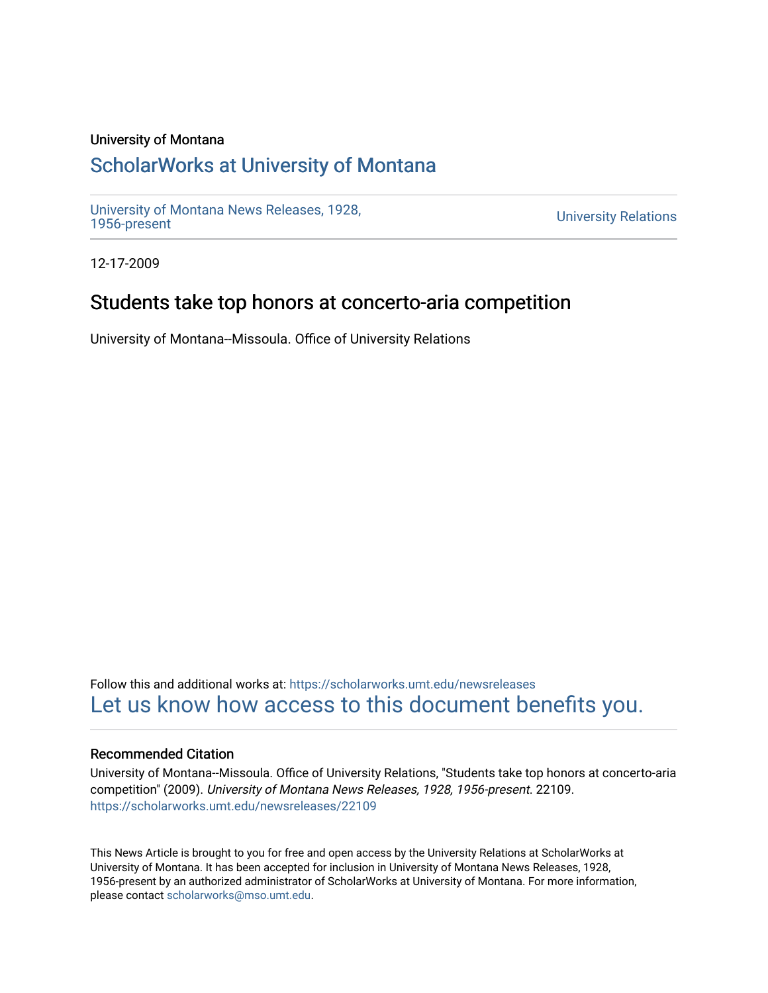#### University of Montana

# [ScholarWorks at University of Montana](https://scholarworks.umt.edu/)

[University of Montana News Releases, 1928,](https://scholarworks.umt.edu/newsreleases) 

**University Relations** 

12-17-2009

## Students take top honors at concerto-aria competition

University of Montana--Missoula. Office of University Relations

Follow this and additional works at: [https://scholarworks.umt.edu/newsreleases](https://scholarworks.umt.edu/newsreleases?utm_source=scholarworks.umt.edu%2Fnewsreleases%2F22109&utm_medium=PDF&utm_campaign=PDFCoverPages) [Let us know how access to this document benefits you.](https://goo.gl/forms/s2rGfXOLzz71qgsB2) 

#### Recommended Citation

University of Montana--Missoula. Office of University Relations, "Students take top honors at concerto-aria competition" (2009). University of Montana News Releases, 1928, 1956-present. 22109. [https://scholarworks.umt.edu/newsreleases/22109](https://scholarworks.umt.edu/newsreleases/22109?utm_source=scholarworks.umt.edu%2Fnewsreleases%2F22109&utm_medium=PDF&utm_campaign=PDFCoverPages) 

This News Article is brought to you for free and open access by the University Relations at ScholarWorks at University of Montana. It has been accepted for inclusion in University of Montana News Releases, 1928, 1956-present by an authorized administrator of ScholarWorks at University of Montana. For more information, please contact [scholarworks@mso.umt.edu.](mailto:scholarworks@mso.umt.edu)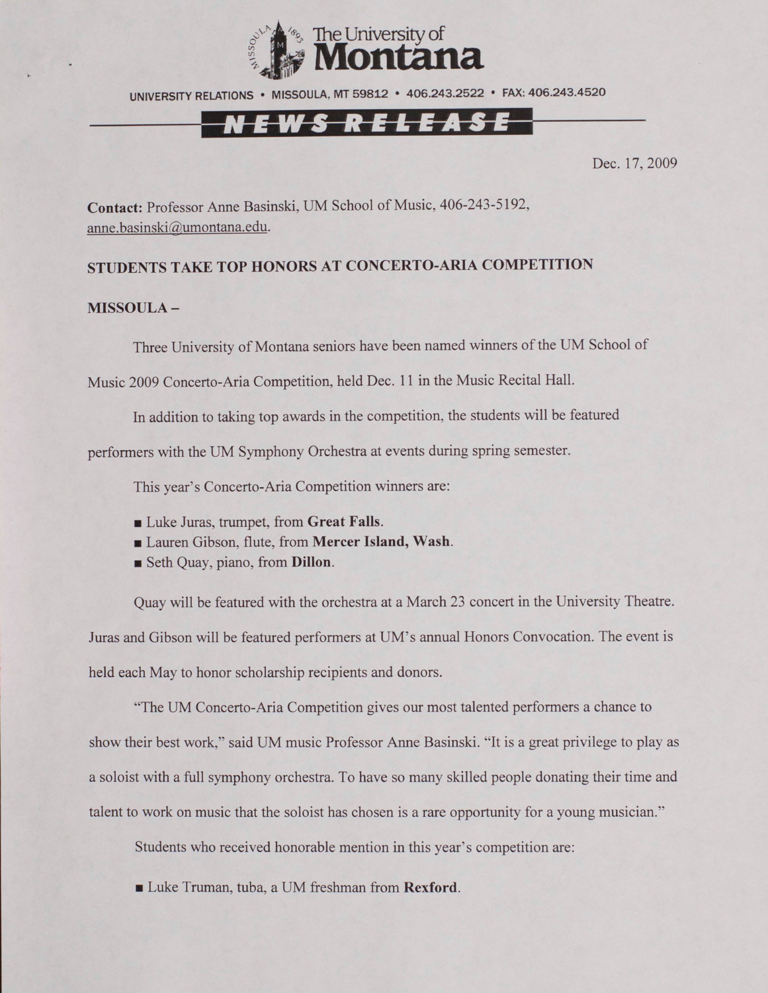

UNIVERSITY RELATIONS • MISSOULA. MT 59812 • 406.243.2522 • FAX: 406.243.4520

# <u>EWS RELEASE</u>

Dec. 17, 2009

**Contact:** Professor Anne Basinski, UM School of Music, 406-243-5192, [anne.basinski@umontana.edu](mailto:anne.basinski@umontana.edu).

## **STUDENTS TAKE TOP HONORS AT CONCERTO-ARIA COMPETITION**

### **MISSOULA -**

Three University of Montana seniors have been named winners of the UM School of

Music 2009 Concerto-Aria Competition, held Dec. 11 in the Music Recital Hall.

In addition to taking top awards in the competition, the students will be featured

performers with the UM Symphony Orchestra at events during spring semester.

This year's Concerto-Aria Competition winners are:

- Luke Juras, trumpet, from **Great Falls.**
- Lauren Gibson, flute, from **Mercer Island**, Wash.
- Seth Quay, piano, from **Dillon.**

Quay will be featured with the orchestra at a March 23 concert in the University Theatre. Juras and Gibson will be featured performers at UM's annual Honors Convocation. The event is held each May to honor scholarship recipients and donors.

"The UM Concerto-Aria Competition gives our most talented performers a chance to show their best work," said UM music Professor Anne Basinski. "It is a great privilege to play as a soloist with a full symphony orchestra. To have so many skilled people donating their time and talent to work on music that the soloist has chosen is a rare opportunity for a young musician."

Students who received honorable mention in this year's competition are:

■ Luke Truman, tuba, a UM freshman from **Rexford.**